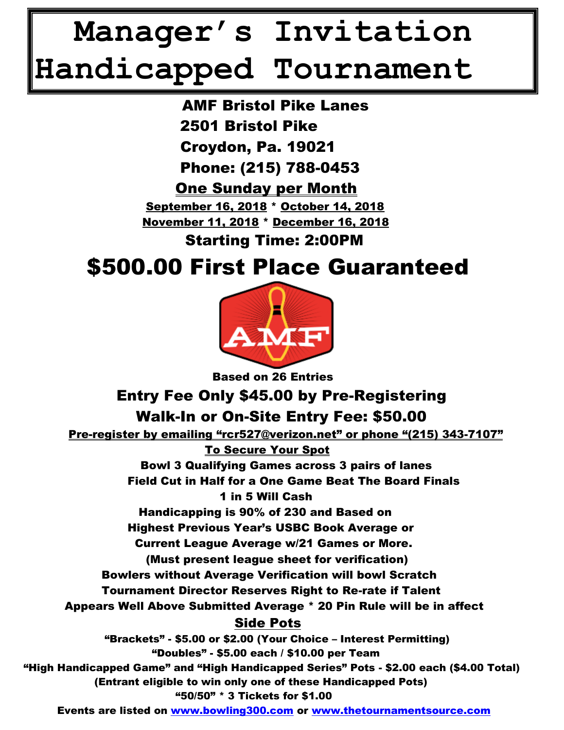## **Manager's Invitation Handicapped Tournament**

 AMF Bristol Pike Lanes 2501 Bristol Pike Croydon, Pa. 19021 Phone: (215) 788-0453 One Sunday per Month September 16, 2018 \* October 14, 2018 November 11, 2018 \* December 16, 2018

Starting Time: 2:00PM

## \$500.00 First Place Guaranteed



Based on 26 Entries

## Entry Fee Only \$45.00 by Pre-Registering Walk-In or On-Site Entry Fee: \$50.00

 Pre-register by emailing "rcr527@verizon.net" or phone "(215) 343-7107" To Secure Your Spot

> Bowl 3 Qualifying Games across 3 pairs of lanes Field Cut in Half for a One Game Beat The Board Finals 1 in 5 Will Cash

Handicapping is 90% of 230 and Based on

Highest Previous Year's USBC Book Average or

Current League Average w/21 Games or More.

(Must present league sheet for verification)

Bowlers without Average Verification will bowl Scratch

Tournament Director Reserves Right to Re-rate if Talent

Appears Well Above Submitted Average \* 20 Pin Rule will be in affect

## Side Pots

 "Brackets" - \$5.00 or \$2.00 (Your Choice – Interest Permitting) "Doubles" - \$5.00 each / \$10.00 per Team "High Handicapped Game" and "High Handicapped Series" Pots - \$2.00 each (\$4.00 Total) (Entrant eligible to win only one of these Handicapped Pots) "50/50" \* 3 Tickets for \$1.00

Events are listed on [www.bowling300.com](http://www.bowling300.com/) or [www.thetournamentsource.com](http://www.thetournamentsource.com/)